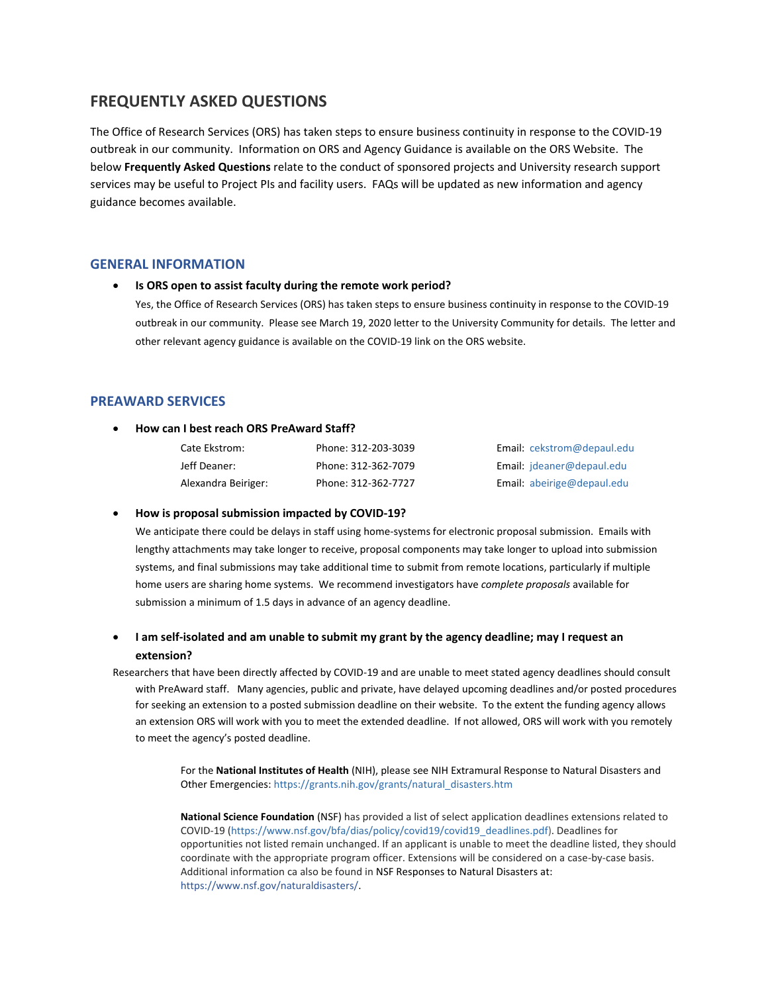# **FREQUENTLY ASKED QUESTIONS**

The Office of Research Services (ORS) has taken steps to ensure business continuity in response to the COVID-19 outbreak in our community. Information on ORS and Agency Guidance is available on the ORS Website. The below **Frequently Asked Questions** relate to the conduct of sponsored projects and University research support services may be useful to Project PIs and facility users. FAQs will be updated as new information and agency guidance becomes available.

## **GENERAL INFORMATION**

### **Is ORS open to assist faculty during the remote work period?**

Yes, the Office of Research Services (ORS) has taken steps to ensure business continuity in response to the COVID-19 outbreak in our community. Please see March 19, 2020 letter to the University Community for details. The letter and other relevant agency guidance is available on the COVID-19 link on the ORS website.

# **PREAWARD SERVICES**

## **How can I best reach ORS PreAward Staff?**

| Cate Ekstrom:       | Phone: 312-203-3039 |
|---------------------|---------------------|
| Jeff Deaner:        | Phone: 312-362-7079 |
| Alexandra Beiriger: | Phone: 312-362-7727 |

Email: [cekstrom@depaul.edu](mailto:cekstrom@depaul.edu) Email: [jdeaner@depaul.edu](mailto:jdeaner@depaul.edu) Email: [abeirige@depaul.edu](mailto:abeirige@depaul.edu)

## **How is proposal submission impacted by COVID-19?**

We anticipate there could be delays in staff using home-systems for electronic proposal submission. Emails with lengthy attachments may take longer to receive, proposal components may take longer to upload into submission systems, and final submissions may take additional time to submit from remote locations, particularly if multiple home users are sharing home systems. We recommend investigators have *complete proposals* available for submission a minimum of 1.5 days in advance of an agency deadline.

# **I** am self-isolated and am unable to submit my grant by the agency deadline; may I request an **extension?**

Researchers that have been directly affected by COVID-19 and are unable to meet stated agency deadlines should consult with PreAward staff. Many agencies, public and private, have delayed upcoming deadlines and/or posted procedures for seeking an extension to a posted submission deadline on their website. To the extent the funding agency allows an extension ORS will work with you to meet the extended deadline. If not allowed, ORS will work with you remotely to meet the agency's posted deadline.

> For the **National Institutes of Health** (NIH), please see NIH Extramural Response to Natural Disasters and Other Emergencies[: https://grants.nih.gov/grants/natural\\_disasters.htm](https://grants.nih.gov/grants/natural_disasters.htm)

**National Science Foundation** (NSF) has provided a list of select application deadlines extensions related to COVID-19 [\(https://www.nsf.gov/bfa/dias/policy/covid19/covid19\\_deadlines.pdf\)](https://www.nsf.gov/bfa/dias/policy/covid19/covid19_deadlines.pdf). Deadlines for opportunities not listed remain unchanged. If an applicant is unable to meet the deadline listed, they should coordinate with the appropriate program officer. Extensions will be considered on a case-by-case basis. Additional information ca also be found in NSF Responses to Natural Disasters at: [https://www.nsf.gov/naturaldisasters/.](https://www.nsf.gov/naturaldisasters/)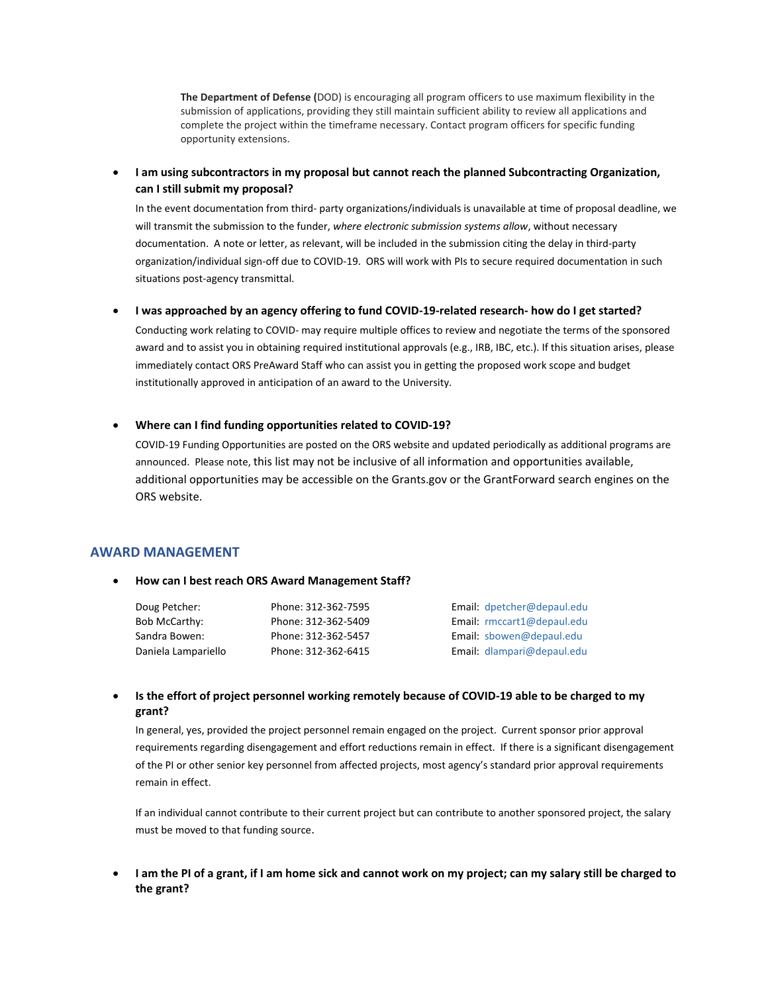**The Department of Defense (**DOD) is encouraging all program officers to use maximum flexibility in the submission of applications, providing they still maintain sufficient ability to review all applications and complete the project within the timeframe necessary. Contact program officers for specific funding opportunity extensions.

**I am using subcontractors in my proposal but cannot reach the planned Subcontracting Organization, can I still submit my proposal?** 

In the event documentation from third- party organizations/individuals is unavailable at time of proposal deadline, we will transmit the submission to the funder, *where electronic submission systems allow*, without necessary documentation. A note or letter, as relevant, will be included in the submission citing the delay in third-party organization/individual sign-off due to COVID-19. ORS will work with PIs to secure required documentation in such situations post-agency transmittal.

**I was approached by an agency offering to fund COVID-19-related research- how do I get started?**

Conducting work relating to COVID- may require multiple offices to review and negotiate the terms of the sponsored award and to assist you in obtaining required institutional approvals (e.g., IRB, IBC, etc.). If this situation arises, please immediately contact ORS PreAward Staff who can assist you in getting the proposed work scope and budget institutionally approved in anticipation of an award to the University.

## **Where can I find funding opportunities related to COVID-19?**

COVID-19 Funding Opportunities are posted on the ORS website and updated periodically as additional programs are announced. Please note, this list may not be inclusive of all information and opportunities available, additional opportunities may be accessible on the Grants.gov or the GrantForward search engines on the ORS website.

# **AWARD MANAGEMENT**

#### **How can I best reach ORS Award Management Staff?**

| Doug Petcher:       | Phone: 312-362-7595 | Email: dpetcher@depaul.edu |
|---------------------|---------------------|----------------------------|
| Bob McCarthy:       | Phone: 312-362-5409 | Email: rmccart1@depaul.edu |
| Sandra Bowen:       | Phone: 312-362-5457 | Email: sbowen@depaul.edu   |
| Daniela Lampariello | Phone: 312-362-6415 | Email: dlampari@depaul.edu |

 **Is the effort of project personnel working remotely because of COVID-19 able to be charged to my grant?** 

In general, yes, provided the project personnel remain engaged on the project. Current sponsor prior approval requirements regarding disengagement and effort reductions remain in effect. If there is a significant disengagement of the PI or other senior key personnel from affected projects, most agency's standard prior approval requirements remain in effect.

If an individual cannot contribute to their current project but can contribute to another sponsored project, the salary must be moved to that funding source.

 **I am the PI of a grant, if I am home sick and cannot work on my project; can my salary still be charged to the grant?**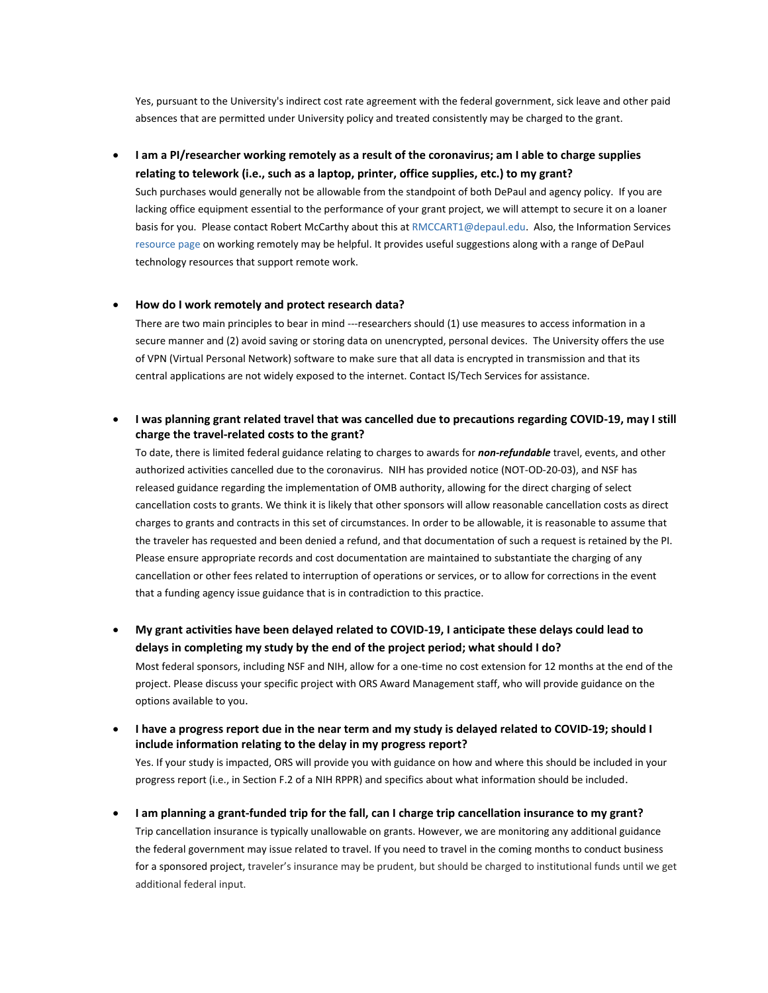Yes, pursuant to the University's indirect cost rate agreement with the federal government, sick leave and other paid absences that are permitted under University policy and treated consistently may be charged to the grant.

# **I am a PI/researcher working remotely as a result of the coronavirus; am I able to charge supplies relating to telework (i.e., such as a laptop, printer, office supplies, etc.) to my grant?**

Such purchases would generally not be allowable from the standpoint of both DePaul and agency policy. If you are lacking office equipment essential to the performance of your grant project, we will attempt to secure it on a loaner basis for you. Please contact Robert McCarthy about this a[t RMCCART1@depaul.edu.](mailto:RMCCART1@depaul.edu) Also, the Information Services [resource page](https://depaul.service-now.com/sp?id=kb_article_view&sysparm_article=KB0010746&sys_kb_id=e9dc1eef1b274810f15543f8bc4bcb1e) on working remotely may be helpful. It provides useful suggestions along with a range of DePaul technology resources that support remote work.

### **How do I work remotely and protect research data?**

There are two main principles to bear in mind ---researchers should (1) use measures to access information in a secure manner and (2) avoid saving or storing data on unencrypted, personal devices. The University offers the use of VPN (Virtual Personal Network) software to make sure that all data is encrypted in transmission and that its central applications are not widely exposed to the internet. Contact IS/Tech Services for assistance.

# **I was planning grant related travel that was cancelled due to precautions regarding COVID-19, may I still charge the travel-related costs to the grant?**

To date, there is limited federal guidance relating to charges to awards for *non-refundable* travel, events, and other authorized activities cancelled due to the coronavirus. NIH has provided notice (NOT-OD-20-03), and NSF has [released guidance regarding the implementation of OMB authority,](https://www.nsf.gov/bfa/dias/policy/covid19/covid19_nsfombimplementation.pdf) allowing for the direct charging of select cancellation costs to grants. We think it is likely that other sponsors will allow reasonable cancellation costs as direct charges to grants and contracts in this set of circumstances. In order to be allowable, it is reasonable to assume that the traveler has requested and been denied a refund, and that documentation of such a request is retained by the PI. Please ensure appropriate records and cost documentation are maintained to substantiate the charging of any cancellation or other fees related to interruption of operations or services, or to allow for corrections in the event that a funding agency issue guidance that is in contradiction to this practice.

- **My grant activities have been delayed related to COVID-19, I anticipate these delays could lead to delays in completing my study by the end of the project period; what should I do?** Most federal sponsors, including NSF and NIH, allow for a one-time no cost extension for 12 months at the end of the project. Please discuss your specific project with ORS Award Management staff, who will provide guidance on the options available to you.
- **I have a progress report due in the near term and my study is delayed related to COVID-19; should I include information relating to the delay in my progress report?**  Yes. If your study is impacted, ORS will provide you with guidance on how and where this should be included in your progress report (i.e., in Section F.2 of a NIH RPPR) and specifics about what information should be included.
- **I** am planning a grant-funded trip for the fall, can I charge trip cancellation insurance to my grant? Trip cancellation insurance is typically unallowable on grants. However, we are monitoring any additional guidance the federal government may issue related to travel. If you need to travel in the coming months to conduct business for a sponsored project, traveler's insurance may be prudent, but should be charged to institutional funds until we get additional federal input.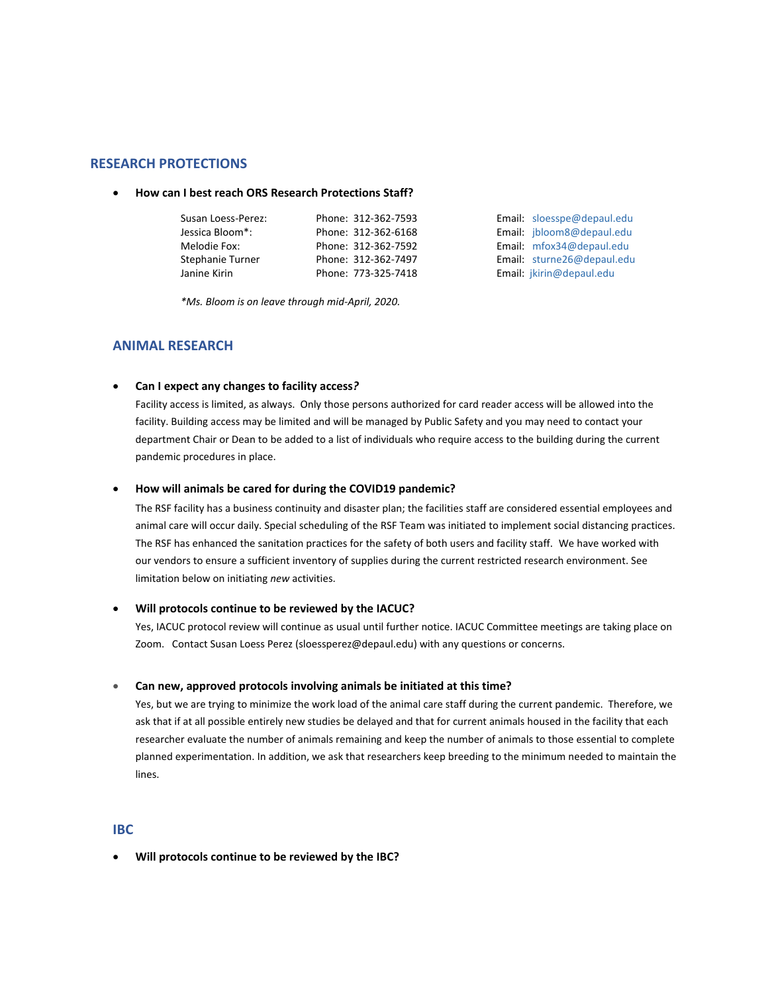## **RESEARCH PROTECTIONS**

## **How can I best reach ORS Research Protections Staff?**

| Susan Loess-Perez: | Phone: 312-362-7593 | Email: sloesspe@depaul.edu |
|--------------------|---------------------|----------------------------|
| Jessica Bloom*:    | Phone: 312-362-6168 | Email: jbloom8@depaul.edu  |
| Melodie Fox:       | Phone: 312-362-7592 | Email: mfox34@depaul.edu   |
| Stephanie Turner   | Phone: 312-362-7497 | Email: sturne26@depaul.edu |
| Janine Kirin       | Phone: 773-325-7418 | Email: jkirin@depaul.edu   |

*\*Ms. Bloom is on leave through mid-April, 2020.*

# **ANIMAL RESEARCH**

**Can I expect any changes to facility access***?* 

Facility access is limited, as always. Only those persons authorized for card reader access will be allowed into the facility. Building access may be limited and will be managed by Public Safety and you may need to contact your department Chair or Dean to be added to a list of individuals who require access to the building during the current pandemic procedures in place.

#### **How will animals be cared for during the COVID19 pandemic?**

The RSF facility has a business continuity and disaster plan; the facilities staff are considered essential employees and animal care will occur daily. Special scheduling of the RSF Team was initiated to implement social distancing practices. The RSF has enhanced the sanitation practices for the safety of both users and facility staff. We have worked with our vendors to ensure a sufficient inventory of supplies during the current restricted research environment. See limitation below on initiating *new* activities.

#### **Will protocols continue to be reviewed by the IACUC?**

Yes, IACUC protocol review will continue as usual until further notice. IACUC Committee meetings are taking place on Zoom. Contact Susan Loess Perez [\(sloessperez@depaul.edu\)](mailto:sloessperez@depaul.edu) with any questions or concerns.

#### **Can new, approved protocols involving animals be initiated at this time?**

Yes, but we are trying to minimize the work load of the animal care staff during the current pandemic. Therefore, we ask that if at all possible entirely new studies be delayed and that for current animals housed in the facility that each researcher evaluate the number of animals remaining and keep the number of animals to those essential to complete planned experimentation. In addition, we ask that researchers keep breeding to the minimum needed to maintain the lines.

# **IBC**

**Will protocols continue to be reviewed by the IBC?**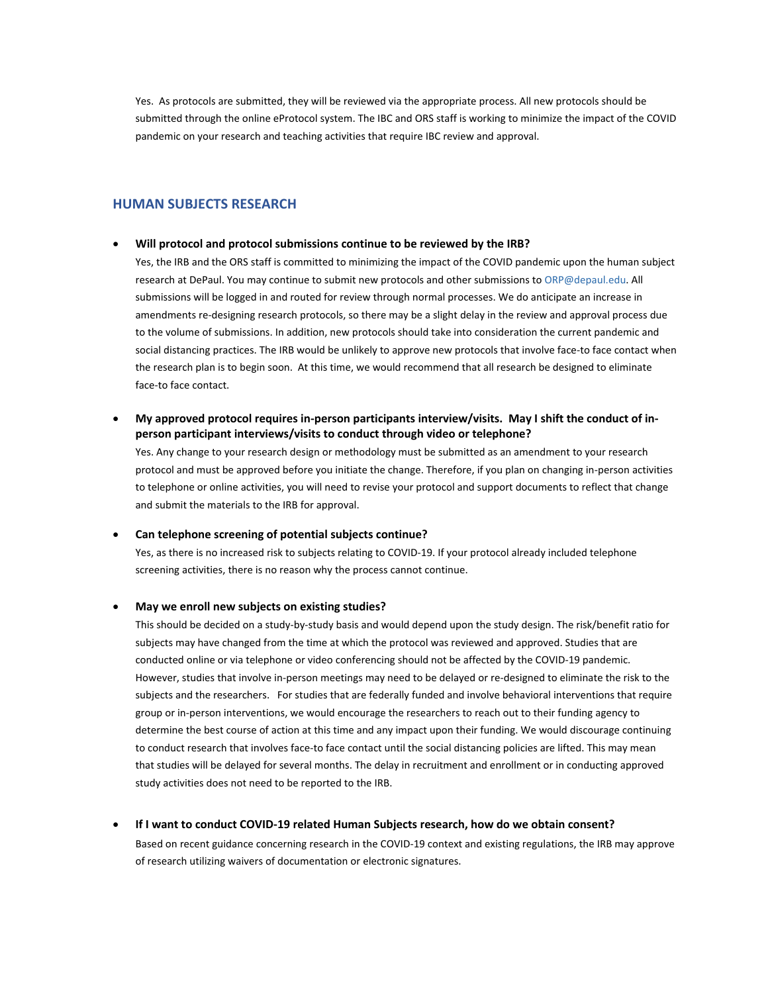Yes. As protocols are submitted, they will be reviewed via the appropriate process. All new protocols should be submitted through the online eProtocol system. The IBC and ORS staff is working to minimize the impact of the COVID pandemic on your research and teaching activities that require IBC review and approval.

# **HUMAN SUBJECTS RESEARCH**

#### **Will protocol and protocol submissions continue to be reviewed by the IRB?**

Yes, the IRB and the ORS staff is committed to minimizing the impact of the COVID pandemic upon the human subject research at DePaul. You may continue to submit new protocols and other submissions t[o ORP@depaul.edu.](mailto:ORP@depaul.edu) All submissions will be logged in and routed for review through normal processes. We do anticipate an increase in amendments re-designing research protocols, so there may be a slight delay in the review and approval process due to the volume of submissions. In addition, new protocols should take into consideration the current pandemic and social distancing practices. The IRB would be unlikely to approve new protocols that involve face-to face contact when the research plan is to begin soon. At this time, we would recommend that all research be designed to eliminate face-to face contact.

 **My approved protocol requires in-person participants interview/visits. May I shift the conduct of inperson participant interviews/visits to conduct through video or telephone?**

Yes. Any change to your research design or methodology must be submitted as an amendment to your research protocol and must be approved before you initiate the change. Therefore, if you plan on changing in-person activities to telephone or online activities, you will need to revise your protocol and support documents to reflect that change and submit the materials to the IRB for approval.

#### **Can telephone screening of potential subjects continue?**

Yes, as there is no increased risk to subjects relating to COVID-19. If your protocol already included telephone screening activities, there is no reason why the process cannot continue.

### **May we enroll new subjects on existing studies?**

This should be decided on a study-by-study basis and would depend upon the study design. The risk/benefit ratio for subjects may have changed from the time at which the protocol was reviewed and approved. Studies that are conducted online or via telephone or video conferencing should not be affected by the COVID-19 pandemic. However, studies that involve in-person meetings may need to be delayed or re-designed to eliminate the risk to the subjects and the researchers. For studies that are federally funded and involve behavioral interventions that require group or in-person interventions, we would encourage the researchers to reach out to their funding agency to determine the best course of action at this time and any impact upon their funding. We would discourage continuing to conduct research that involves face-to face contact until the social distancing policies are lifted. This may mean that studies will be delayed for several months. The delay in recruitment and enrollment or in conducting approved study activities does not need to be reported to the IRB.

# **If I want to conduct COVID-19 related Human Subjects research, how do we obtain consent?**

Based on recent guidance concerning research in the COVID-19 context and existing regulations, the IRB may approve of research utilizing waivers of documentation or electronic signatures.